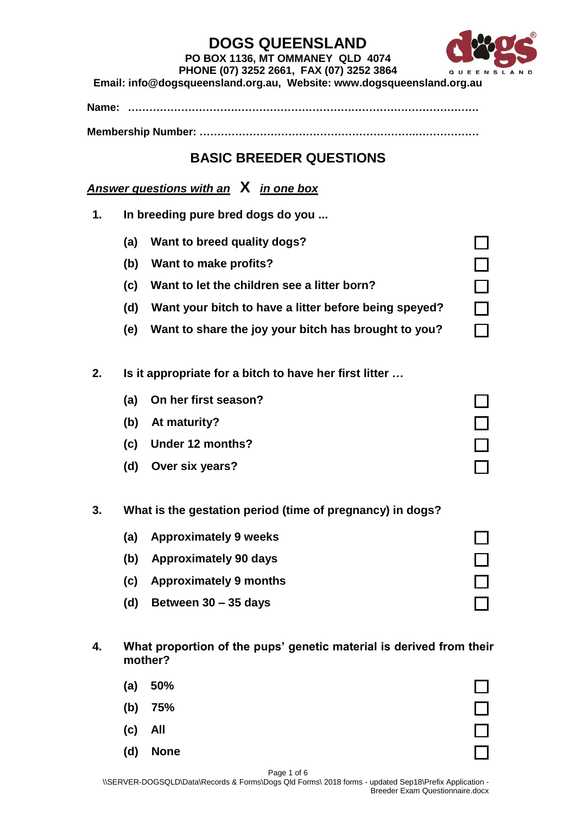

 $\overline{\phantom{0}}$ 

#### **PO BOX 1136, MT OMMANEY QLD 4074 PHONE (07) 3252 2661, FAX (07) 3252 3864**

**Email: info@dogsqueensland.org.au, Website: www.dogsqueensland.org.au**

**Name: ………………………………………………………………………………………**

**Membership Number: …………………………………………………….………………**

### **BASIC BREEDER QUESTIONS**

*Answer questions with an* **X** *in one box*

- **1. In breeding pure bred dogs do you ...**
	- **(a) Want to breed quality dogs?**
	- **(b) Want to make profits?**
	- **(c) Want to let the children see a litter born?**
	- **(d) Want your bitch to have a litter before being speyed?**
	- **(e) Want to share the joy your bitch has brought to you?**
- **2. Is it appropriate for a bitch to have her first litter …**
	- **(a) On her first season?**
	- **(b) At maturity?**
	- **(c) Under 12 months?**
	- **(d) Over six years?**
- **3. What is the gestation period (time of pregnancy) in dogs?**
	- **(a) Approximately 9 weeks**
	- **(b) Approximately 90 days**
	- **(c) Approximately 9 months**
	- **(d) Between 30 – 35 days**
- **4. What proportion of the pups' genetic material is derived from their mother?**
	- **(a) 50%**
	- **(b) 75%**
	- **(c) All**
	- **(d) None**

| $\mathbb{L}^{\top}$ |
|---------------------|
|                     |

Page 1 of 6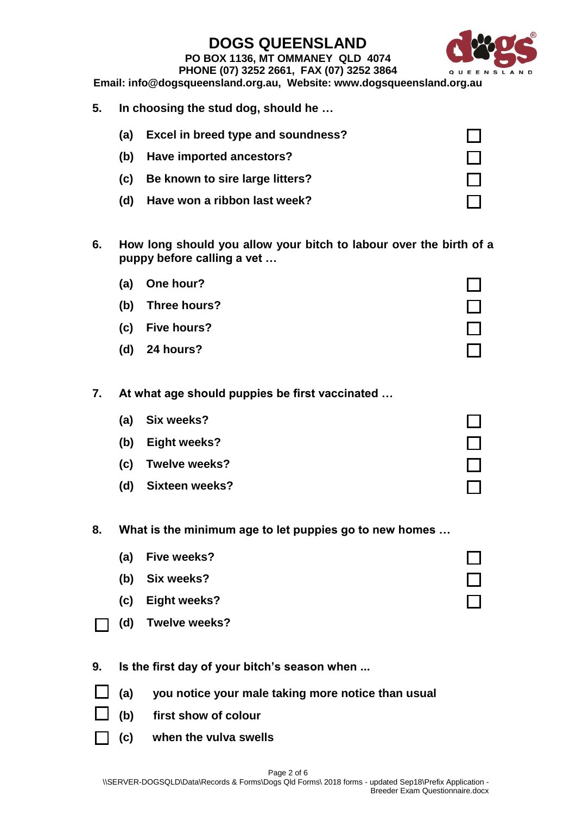**PO BOX 1136, MT OMMANEY QLD 4074**



#### **PHONE (07) 3252 2661, FAX (07) 3252 3864 Email: info@dogsqueensland.org.au, Website: www.dogsqueensland.org.au**

**5. In choosing the stud dog, should he …**

| (a) | Excel in breed type and soundness? |  |
|-----|------------------------------------|--|
| (b) | Have imported ancestors?           |  |
| (c) | Be known to sire large litters?    |  |
| (d) | Have won a ribbon last week?       |  |

- **6. How long should you allow your bitch to labour over the birth of a puppy before calling a vet …**
	- **(a) One hour? (b) Three hours? (c) Five hours? (d) 24 hours?**
- **7. At what age should puppies be first vaccinated …**
	- **(a) Six weeks?**
	- **(b) Eight weeks?**
	- **(c) Twelve weeks?**
	- **(d) Sixteen weeks?**
- **8. What is the minimum age to let puppies go to new homes …**
	- **(a) Five weeks?**
	- **(b) Six weeks?**
	- **(c) Eight weeks?**
	- **(d) Twelve weeks?**
- **9. Is the first day of your bitch's season when ...**
- **(a) you notice your male taking more notice than usual**
	- **(b) first show of colour**
	- **(c) when the vulva swells**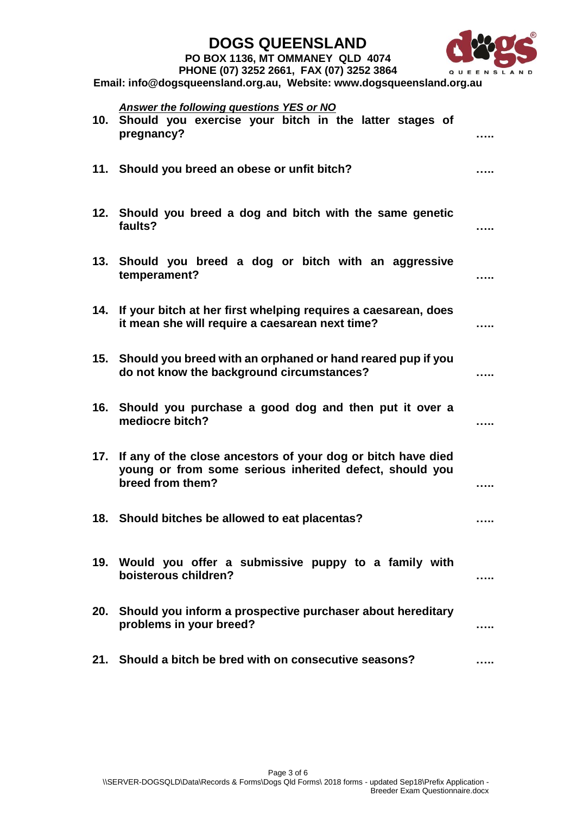#### **PO BOX 1136, MT OMMANEY QLD 4074**



**PHONE (07) 3252 2661, FAX (07) 3252 3864**

**Email: info@dogsqueensland.org.au, Website: www.dogsqueensland.org.au**

# *Answer the following questions YES or NO*

|     | 10. Should you exercise your bitch in the latter stages of<br>pregnancy?                                                                    |  |
|-----|---------------------------------------------------------------------------------------------------------------------------------------------|--|
|     | 11. Should you breed an obese or unfit bitch?                                                                                               |  |
|     | 12. Should you breed a dog and bitch with the same genetic<br>faults?                                                                       |  |
|     | 13. Should you breed a dog or bitch with an aggressive<br>temperament?                                                                      |  |
| 14. | If your bitch at her first whelping requires a caesarean, does<br>it mean she will require a caesarean next time?                           |  |
|     | 15. Should you breed with an orphaned or hand reared pup if you<br>do not know the background circumstances?                                |  |
|     | 16. Should you purchase a good dog and then put it over a<br>mediocre bitch?                                                                |  |
| 17. | If any of the close ancestors of your dog or bitch have died<br>young or from some serious inherited defect, should you<br>breed from them? |  |
|     | 18. Should bitches be allowed to eat placentas?                                                                                             |  |
|     | 19. Would you offer a submissive puppy to a family with<br>boisterous children?                                                             |  |
| 20. | Should you inform a prospective purchaser about hereditary<br>problems in your breed?                                                       |  |
| 21. | Should a bitch be bred with on consecutive seasons?                                                                                         |  |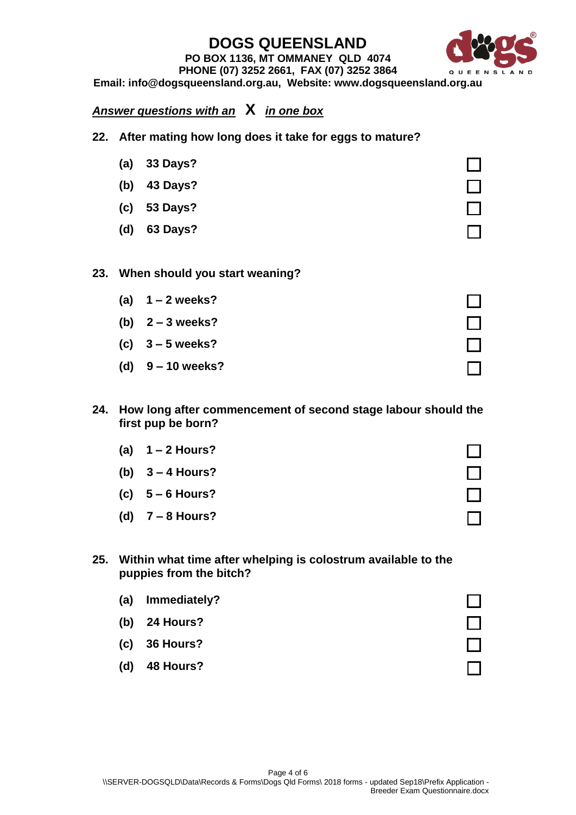#### **PO BOX 1136, MT OMMANEY QLD 4074 PHONE (07) 3252 2661, FAX (07) 3252 3864**

**Email: info@dogsqueensland.org.au, Website: www.dogsqueensland.org.au**

### *Answer questions with an* **X** *in one box*

- **22. After mating how long does it take for eggs to mature?**
- **(a) 33 Days? (b) 43 Days? (c) 53 Days? (d) 63 Days? 23. When should you start weaning? (a) 1 – 2 weeks? (b) 2 – 3 weeks? (c) 3 – 5 weeks? (d) 9 – 10 weeks?**
- **24. How long after commencement of second stage labour should the first pup be born?**
	- **(a) 1 – 2 Hours? (b) 3 – 4 Hours? (c) 5 – 6 Hours? (d) 7 – 8 Hours?**
- **25. Within what time after whelping is colostrum available to the puppies from the bitch?**

| (a) | Immediately?    |  |
|-----|-----------------|--|
|     | (b) $24$ Hours? |  |
|     | $(c)$ 36 Hours? |  |
| (d) | 48 Hours?       |  |

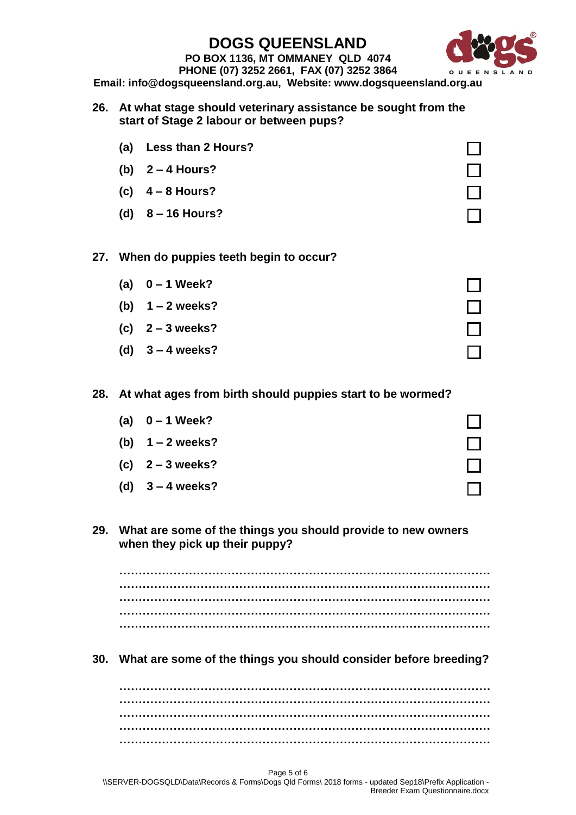**PO BOX 1136, MT OMMANEY QLD 4074 PHONE (07) 3252 2661, FAX (07) 3252 3864**



**Email: info@dogsqueensland.org.au, Website: www.dogsqueensland.org.au**

- **26. At what stage should veterinary assistance be sought from the start of Stage 2 labour or between pups?**
	- **(a) Less than 2 Hours?**
	- **(b) 2 – 4 Hours?**
	- **(c) 4 – 8 Hours?**
	- **(d) 8 – 16 Hours?**

#### **27. When do puppies teeth begin to occur?**

- **(a) 0 – 1 Week?**
- **(b) 1 – 2 weeks?**
- **(c) 2 – 3 weeks?**
- **(d) 3 – 4 weeks?**

#### **28. At what ages from birth should puppies start to be wormed?**

- **(a) 0 – 1 Week?**
- **(b) 1 – 2 weeks?**
- **(c) 2 – 3 weeks?**
- **(d) 3 – 4 weeks?**

#### **29. What are some of the things you should provide to new owners when they pick up their puppy?**

**…………………………………………………………………………………… …………………………………………………………………………………… …………………………………………………………………………………… …………………………………………………………………………………… ……………………………………………………………………………………**

**30. What are some of the things you should consider before breeding?**

**…………………………………………………………………………………… …………………………………………………………………………………… …………………………………………………………………………………… …………………………………………………………………………………… ……………………………………………………………………………………**